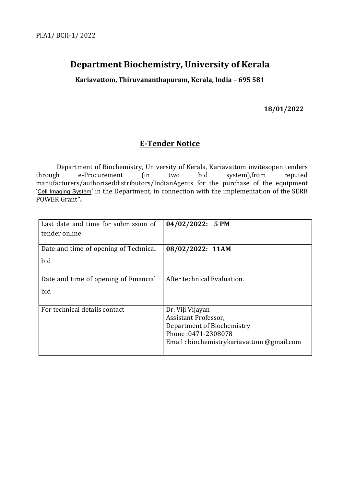# Department Biochemistry, University of Kerala

Kariavattom, Thiruvananthapuram, Kerala, India – 695 581

18/01/2022

# E-Tender Notice

 Department of Biochemistry, University of Kerala, Kariavattom invitesopen tenders through e-Procurement (in two bid system),from reputed manufacturers/authorizeddistributors/IndianAgents for the purchase of the equipment 'Cell Imaging System' in the Department, in connection with the implementation of the SERB POWER Grant".

| Last date and time for submission of<br>tender online | $04/02/2022$ : 5 PM                       |
|-------------------------------------------------------|-------------------------------------------|
| Date and time of opening of Technical                 | 08/02/2022: 11AM                          |
| bid                                                   |                                           |
| Date and time of opening of Financial                 | After technical Evaluation.               |
| bid                                                   |                                           |
| For technical details contact                         | Dr. Viji Vijayan                          |
|                                                       | Assistant Professor,                      |
|                                                       | Department of Biochemistry                |
|                                                       | Phone: 0471-2308078                       |
|                                                       | Email: biochemistrykariavattom @gmail.com |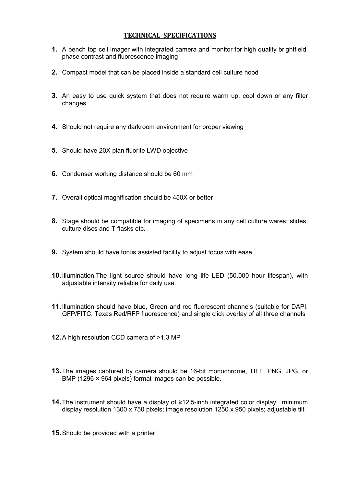## TECHNICAL SPECIFICATIONS

- 1. A bench top cell imager with integrated camera and monitor for high quality brightfield, phase contrast and fluorescence imaging
- 2. Compact model that can be placed inside a standard cell culture hood
- 3. An easy to use quick system that does not require warm up, cool down or any filter changes
- 4. Should not require any darkroom environment for proper viewing
- 5. Should have 20X plan fluorite LWD objective
- 6. Condenser working distance should be 60 mm
- 7. Overall optical magnification should be 450X or better
- 8. Stage should be compatible for imaging of specimens in any cell culture wares: slides, culture discs and T flasks etc.
- 9. System should have focus assisted facility to adjust focus with ease
- 10. Illumination:The light source should have long life LED (50,000 hour lifespan), with adjustable intensity reliable for daily use.
- 11. Illumination should have blue, Green and red fluorescent channels (suitable for DAPI, GFP/FITC, Texas Red/RFP fluorescence) and single click overlay of all three channels
- 12. A high resolution CCD camera of >1.3 MP
- 13. The images captured by camera should be 16-bit monochrome, TIFF, PNG, JPG, or BMP (1296 × 964 pixels) format images can be possible.
- 14. The instrument should have a display of ≥12.5-inch integrated color display; minimum display resolution 1300 x 750 pixels; image resolution 1250 x 950 pixels; adjustable tilt
- 15. Should be provided with a printer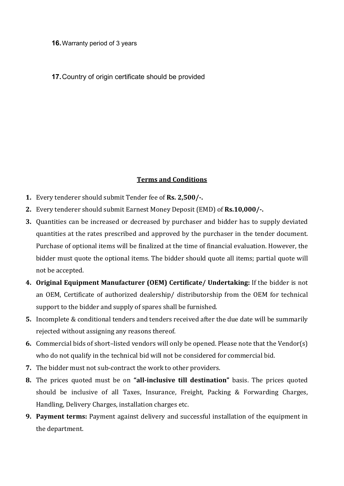#### 16. Warranty period of 3 years

# 17. Country of origin certificate should be provided

## Terms and Conditions

- 1. Every tenderer should submit Tender fee of Rs. 2,500/-.
- 2. Every tenderer should submit Earnest Money Deposit (EMD) of Rs.10,000/-.
- 3. Quantities can be increased or decreased by purchaser and bidder has to supply deviated quantities at the rates prescribed and approved by the purchaser in the tender document. Purchase of optional items will be finalized at the time of financial evaluation. However, the bidder must quote the optional items. The bidder should quote all items; partial quote will not be accepted.
- 4. Original Equipment Manufacturer (OEM) Certificate/ Undertaking: If the bidder is not an OEM, Certificate of authorized dealership/ distributorship from the OEM for technical support to the bidder and supply of spares shall be furnished.
- 5. Incomplete & conditional tenders and tenders received after the due date will be summarily rejected without assigning any reasons thereof.
- 6. Commercial bids of short–listed vendors will only be opened. Please note that the Vendor(s) who do not qualify in the technical bid will not be considered for commercial bid.
- 7. The bidder must not sub-contract the work to other providers.
- 8. The prices quoted must be on "all-inclusive till destination" basis. The prices quoted should be inclusive of all Taxes, Insurance, Freight, Packing & Forwarding Charges, Handling, Delivery Charges, installation charges etc.
- 9. Payment terms: Payment against delivery and successful installation of the equipment in the department.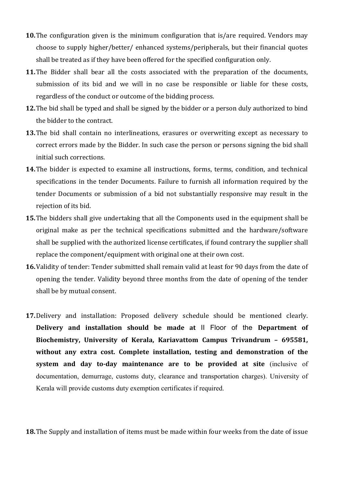- 10. The configuration given is the minimum configuration that is/are required. Vendors may choose to supply higher/better/ enhanced systems/peripherals, but their financial quotes shall be treated as if they have been offered for the specified configuration only.
- 11. The Bidder shall bear all the costs associated with the preparation of the documents, submission of its bid and we will in no case be responsible or liable for these costs, regardless of the conduct or outcome of the bidding process.
- 12. The bid shall be typed and shall be signed by the bidder or a person duly authorized to bind the bidder to the contract.
- 13. The bid shall contain no interlineations, erasures or overwriting except as necessary to correct errors made by the Bidder. In such case the person or persons signing the bid shall initial such corrections.
- 14.The bidder is expected to examine all instructions, forms, terms, condition, and technical specifications in the tender Documents. Failure to furnish all information required by the tender Documents or submission of a bid not substantially responsive may result in the rejection of its bid.
- 15. The bidders shall give undertaking that all the Components used in the equipment shall be original make as per the technical specifications submitted and the hardware/software shall be supplied with the authorized license certificates, if found contrary the supplier shall replace the component/equipment with original one at their own cost.
- 16.Validity of tender: Tender submitted shall remain valid at least for 90 days from the date of opening the tender. Validity beyond three months from the date of opening of the tender shall be by mutual consent.
- 17.Delivery and installation: Proposed delivery schedule should be mentioned clearly. Delivery and installation should be made at II Floor of the Department of Biochemistry, University of Kerala, Kariavattom Campus Trivandrum – 695581, without any extra cost. Complete installation, testing and demonstration of the system and day to-day maintenance are to be provided at site (inclusive of documentation, demurrage, customs duty, clearance and transportation charges). University of Kerala will provide customs duty exemption certificates if required.

18. The Supply and installation of items must be made within four weeks from the date of issue